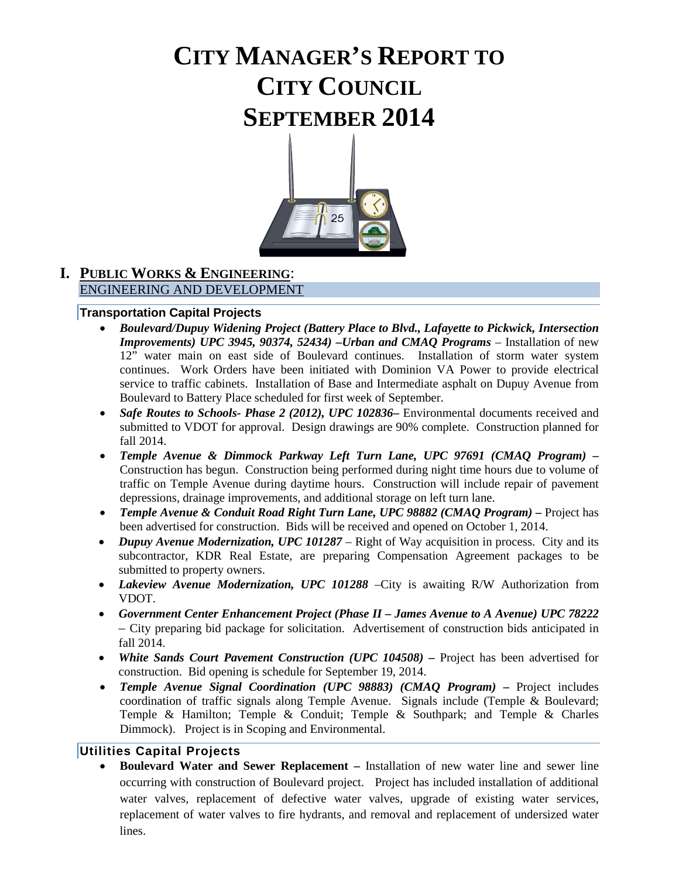# **CITY MANAGER'S REPORT TO CITY COUNCIL SEPTEMBER 2014**



# **I. PUBLIC WORKS & ENGINEERING**: ENGINEERING AND DEVELOPMENT

#### **Transportation Capital Projects**

- *Boulevard/Dupuy Widening Project (Battery Place to Blvd., Lafayette to Pickwick, Intersection Improvements) UPC 3945, 90374, 52434) –Urban and CMAQ Programs* – Installation of new 12" water main on east side of Boulevard continues. Installation of storm water system continues. Work Orders have been initiated with Dominion VA Power to provide electrical service to traffic cabinets. Installation of Base and Intermediate asphalt on Dupuy Avenue from Boulevard to Battery Place scheduled for first week of September.
- *Safe Routes to Schools- Phase 2 (2012), UPC 102836***–** Environmental documents received and submitted to VDOT for approval. Design drawings are 90% complete. Construction planned for fall 2014.
- *Temple Avenue & Dimmock Parkway Left Turn Lane, UPC 97691 (CMAQ Program) –* Construction has begun. Construction being performed during night time hours due to volume of traffic on Temple Avenue during daytime hours. Construction will include repair of pavement depressions, drainage improvements, and additional storage on left turn lane.
- *Temple Avenue & Conduit Road Right Turn Lane, UPC 98882 (CMAQ Program) –* Project has been advertised for construction. Bids will be received and opened on October 1, 2014.
- *Dupuy Avenue Modernization, UPC 101287* Right of Way acquisition in process. City and its subcontractor, KDR Real Estate, are preparing Compensation Agreement packages to be submitted to property owners.
- *Lakeview Avenue Modernization, UPC 101288* –City is awaiting R/W Authorization from VDOT.
- *Government Center Enhancement Project (Phase II – James Avenue to A Avenue) UPC 78222 –* City preparing bid package for solicitation. Advertisement of construction bids anticipated in fall 2014.
- *White Sands Court Pavement Construction (UPC 104508) –* Project has been advertised for construction. Bid opening is schedule for September 19, 2014.
- *Temple Avenue Signal Coordination (UPC 98883) (CMAQ Program) –* Project includes coordination of traffic signals along Temple Avenue. Signals include (Temple & Boulevard; Temple & Hamilton; Temple & Conduit; Temple & Southpark; and Temple & Charles Dimmock). Project is in Scoping and Environmental.

#### **Utilities Capital Projects**

• **Boulevard Water and Sewer Replacement –** Installation of new water line and sewer line occurring with construction of Boulevard project. Project has included installation of additional water valves, replacement of defective water valves, upgrade of existing water services, replacement of water valves to fire hydrants, and removal and replacement of undersized water lines.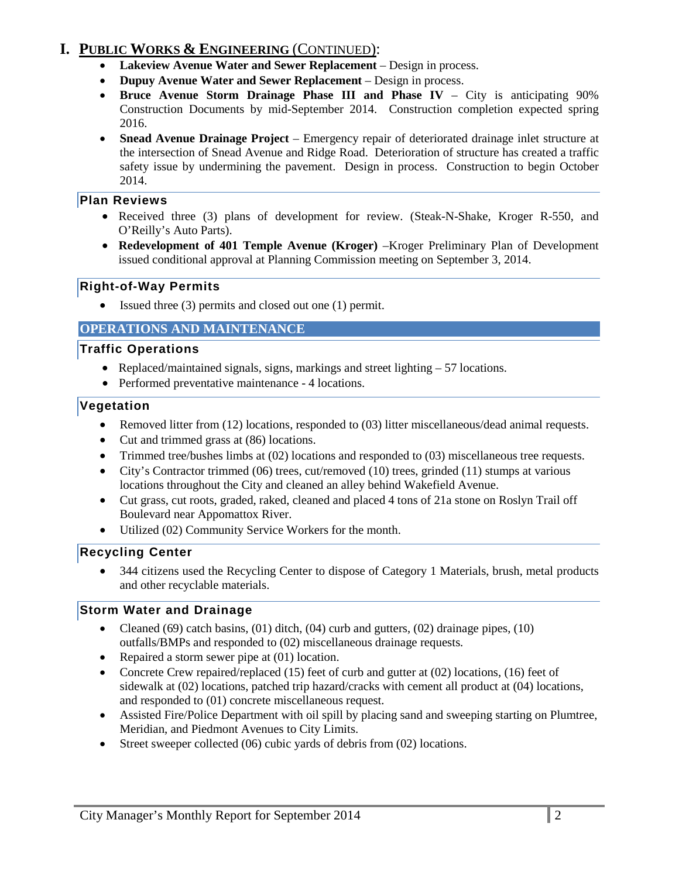# **I. PUBLIC WORKS & ENGINEERING** (CONTINUED):

- **Lakeview Avenue Water and Sewer Replacement**  Design in process.
- **Dupuy Avenue Water and Sewer Replacement**  Design in process.
- **Bruce Avenue Storm Drainage Phase III and Phase IV**  City is anticipating 90% Construction Documents by mid-September 2014. Construction completion expected spring 2016.
- **Snead Avenue Drainage Project** Emergency repair of deteriorated drainage inlet structure at the intersection of Snead Avenue and Ridge Road. Deterioration of structure has created a traffic safety issue by undermining the pavement. Design in process. Construction to begin October 2014.

### **Plan Reviews**

- Received three (3) plans of development for review. (Steak-N-Shake, Kroger R-550, and O'Reilly's Auto Parts).
- **Redevelopment of 401 Temple Avenue (Kroger)** –Kroger Preliminary Plan of Development issued conditional approval at Planning Commission meeting on September 3, 2014.

### **Right-of-Way Permits**

• Issued three (3) permits and closed out one (1) permit.

### **OPERATIONS AND MAINTENANCE**

### **Traffic Operations**

- Replaced/maintained signals, signs, markings and street lighting  $-57$  locations.
- Performed preventative maintenance 4 locations.

### **Vegetation**

- Removed litter from (12) locations, responded to (03) litter miscellaneous/dead animal requests.
- Cut and trimmed grass at (86) locations.
- Trimmed tree/bushes limbs at (02) locations and responded to (03) miscellaneous tree requests.
- City's Contractor trimmed (06) trees, cut/removed (10) trees, grinded (11) stumps at various locations throughout the City and cleaned an alley behind Wakefield Avenue.
- Cut grass, cut roots, graded, raked, cleaned and placed 4 tons of 21a stone on Roslyn Trail off Boulevard near Appomattox River.
- Utilized (02) Community Service Workers for the month.

# **Recycling Center**

• 344 citizens used the Recycling Center to dispose of Category 1 Materials, brush, metal products and other recyclable materials.

# **Storm Water and Drainage**

- Cleaned (69) catch basins,  $(01)$  ditch,  $(04)$  curb and gutters,  $(02)$  drainage pipes,  $(10)$ outfalls/BMPs and responded to (02) miscellaneous drainage requests.
- Repaired a storm sewer pipe at (01) location.
- Concrete Crew repaired/replaced (15) feet of curb and gutter at (02) locations, (16) feet of sidewalk at (02) locations, patched trip hazard/cracks with cement all product at (04) locations, and responded to (01) concrete miscellaneous request.
- Assisted Fire/Police Department with oil spill by placing sand and sweeping starting on Plumtree, Meridian, and Piedmont Avenues to City Limits.
- Street sweeper collected (06) cubic yards of debris from (02) locations.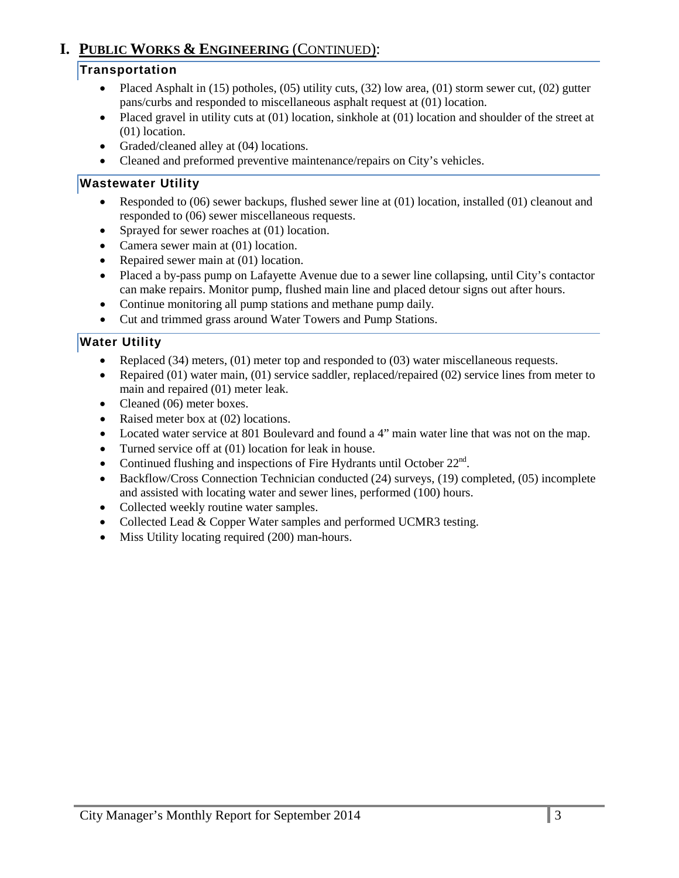# **I. PUBLIC WORKS & ENGINEERING** (CONTINUED):

# **Transportation**

- Placed Asphalt in  $(15)$  potholes,  $(05)$  utility cuts,  $(32)$  low area,  $(01)$  storm sewer cut,  $(02)$  gutter pans/curbs and responded to miscellaneous asphalt request at (01) location.
- Placed gravel in utility cuts at  $(01)$  location, sinkhole at  $(01)$  location and shoulder of the street at (01) location.
- Graded/cleaned alley at (04) locations.
- Cleaned and preformed preventive maintenance/repairs on City's vehicles.

### **Wastewater Utility**

- Responded to (06) sewer backups, flushed sewer line at (01) location, installed (01) cleanout and responded to (06) sewer miscellaneous requests.
- Sprayed for sewer roaches at (01) location.
- Camera sewer main at (01) location.
- Repaired sewer main at (01) location.
- Placed a by-pass pump on Lafayette Avenue due to a sewer line collapsing, until City's contactor can make repairs. Monitor pump, flushed main line and placed detour signs out after hours.
- Continue monitoring all pump stations and methane pump daily*.*
- Cut and trimmed grass around Water Towers and Pump Stations.

### **Water Utility**

- Replaced (34) meters, (01) meter top and responded to (03) water miscellaneous requests.
- Repaired (01) water main, (01) service saddler, replaced/repaired (02) service lines from meter to main and repaired (01) meter leak.
- Cleaned (06) meter boxes.
- Raised meter box at (02) locations.
- Located water service at 801 Boulevard and found a 4" main water line that was not on the map.
- Turned service off at (01) location for leak in house.
- Continued flushing and inspections of Fire Hydrants until October  $22<sup>nd</sup>$ .
- Backflow/Cross Connection Technician conducted (24) surveys, (19) completed, (05) incomplete and assisted with locating water and sewer lines, performed (100) hours.
- Collected weekly routine water samples.
- Collected Lead & Copper Water samples and performed UCMR3 testing.
- Miss Utility locating required (200) man-hours.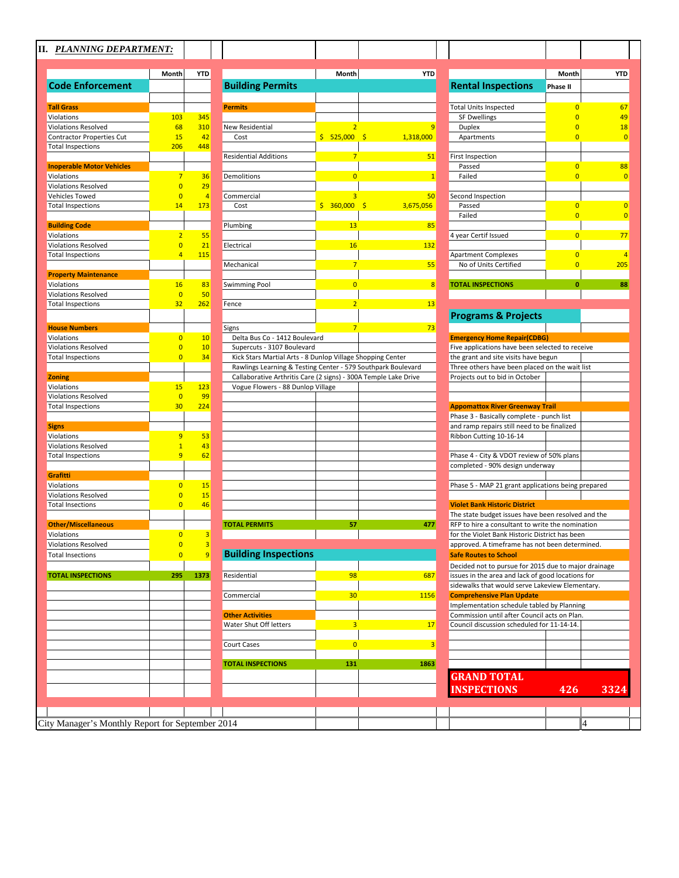|                                  | Month                | <b>YTD</b>              |                                                                 | Month          | <b>YTD</b>                |                                                      | Month          | <b>YTD</b> |
|----------------------------------|----------------------|-------------------------|-----------------------------------------------------------------|----------------|---------------------------|------------------------------------------------------|----------------|------------|
| <b>Code Enforcement</b>          |                      |                         | <b>Building Permits</b>                                         |                |                           | <b>Rental Inspections</b>                            | Phase II       |            |
|                                  |                      |                         |                                                                 |                |                           |                                                      |                |            |
| <b>Tall Grass</b>                |                      |                         | <b>Permits</b>                                                  |                |                           | <b>Total Units Inspected</b>                         | $\overline{0}$ |            |
| Violations                       | 103                  | 345                     |                                                                 |                |                           | <b>SF Dwellings</b>                                  | $\overline{0}$ |            |
| <b>Violations Resolved</b>       | 68                   | 310                     | New Residential                                                 |                | 9                         | <b>Duplex</b>                                        | $\Omega$       |            |
| <b>Contractor Properties Cut</b> | 15                   | 42                      | Cost                                                            | \$525,000      | -\$<br>1,318,000          | Apartments                                           | $\overline{0}$ |            |
| <b>Total Inspections</b>         | 206                  | 448                     |                                                                 |                |                           |                                                      |                |            |
|                                  |                      |                         | <b>Residential Additions</b>                                    | $\overline{7}$ | 51                        | First Inspection                                     |                |            |
| <b>Inoperable Motor Vehicles</b> |                      |                         |                                                                 |                |                           | Passed                                               | $\overline{0}$ |            |
| Violations                       | 7                    | 36                      | Demolitions                                                     | $\overline{0}$ | $\overline{1}$            | Failed                                               | $\overline{0}$ |            |
| <b>Violations Resolved</b>       | $\overline{0}$       | 29                      |                                                                 |                |                           |                                                      |                |            |
| Vehicles Towed                   | $\overline{0}$       | $\overline{4}$          | Commercial                                                      |                | 50                        | Second Inspection                                    |                |            |
| <b>Total Inspections</b>         | 14                   | 173                     | Cost                                                            | \$360,000      | $\mathsf{S}$<br>3,675,056 | Passed                                               | $\overline{0}$ |            |
|                                  |                      |                         |                                                                 |                |                           | Failed                                               | $\overline{0}$ |            |
| <b>Building Code</b>             |                      |                         | Plumbing                                                        | 13             | 85                        |                                                      |                |            |
| Violations                       | $\overline{2}$       | 55                      |                                                                 |                |                           | 4 year Certif Issued                                 | $\overline{0}$ |            |
| <b>Violations Resolved</b>       | $\overline{0}$       | 21                      | Electrical                                                      | 16             | 132                       |                                                      |                |            |
| <b>Total Inspections</b>         | $\overline{4}$       | 115                     |                                                                 |                |                           | <b>Apartment Complexes</b>                           | $\overline{0}$ |            |
|                                  |                      |                         | Mechanical                                                      | $7\overline{}$ | 55                        | No of Units Certified                                | $\overline{0}$ | 205        |
| <b>Property Maintenance</b>      |                      |                         |                                                                 |                |                           |                                                      |                |            |
| Violations                       | 16                   | 83                      | <b>Swimming Pool</b>                                            | $\overline{0}$ | 8                         | <b>TOTAL INSPECTIONS</b>                             | $\mathbf{0}$   |            |
|                                  |                      |                         |                                                                 |                |                           |                                                      |                |            |
| <b>Violations Resolved</b>       | $\overline{0}$<br>32 | 50<br>262               |                                                                 |                | 13                        |                                                      |                |            |
| <b>Total Inspections</b>         |                      |                         | Fence                                                           | $\overline{2}$ |                           |                                                      |                |            |
|                                  |                      |                         |                                                                 |                |                           | <b>Programs &amp; Projects</b>                       |                |            |
| <b>House Numbers</b>             |                      |                         | Signs                                                           | $7\overline{}$ | 73                        |                                                      |                |            |
| Violations                       | $\overline{0}$       | 10                      | Delta Bus Co - 1412 Boulevard                                   |                |                           | <b>Emergency Home Repair(CDBG)</b>                   |                |            |
| <b>Violations Resolved</b>       | $\overline{0}$       | 10                      | Supercuts - 3107 Boulevard                                      |                |                           | Five applications have been selected to receive      |                |            |
| <b>Total Inspections</b>         | $\overline{0}$       | 34                      | Kick Stars Martial Arts - 8 Dunlop Village Shopping Center      |                |                           | the grant and site visits have begun                 |                |            |
|                                  |                      |                         | Rawlings Learning & Testing Center - 579 Southpark Boulevard    |                |                           | Three others have been placed on the wait list       |                |            |
| <b>Zoning</b>                    |                      |                         | Callaborative Arthritis Care (2 signs) - 300A Temple Lake Drive |                |                           | Projects out to bid in October                       |                |            |
| Violations                       | 15                   | 123                     | Vogue Flowers - 88 Dunlop Village                               |                |                           |                                                      |                |            |
| <b>Violations Resolved</b>       | $\overline{0}$       | 99                      |                                                                 |                |                           |                                                      |                |            |
| <b>Total Inspections</b>         | 30                   | 224                     |                                                                 |                |                           | <b>Appomattox River Greenway Trail</b>               |                |            |
|                                  |                      |                         |                                                                 |                |                           | Phase 3 - Basically complete - punch list            |                |            |
| <b>Signs</b>                     |                      |                         |                                                                 |                |                           | and ramp repairs still need to be finalized          |                |            |
| Violations                       | 9                    | 53                      |                                                                 |                |                           | Ribbon Cutting 10-16-14                              |                |            |
| <b>Violations Resolved</b>       | $\mathbf{1}$         | 43                      |                                                                 |                |                           |                                                      |                |            |
| <b>Total Inspections</b>         | $\overline{9}$       | 62                      |                                                                 |                |                           | Phase 4 - City & VDOT review of 50% plans            |                |            |
|                                  |                      |                         |                                                                 |                |                           | completed - 90% design underway                      |                |            |
| <b>Grafitti</b>                  |                      |                         |                                                                 |                |                           |                                                      |                |            |
| Violations                       | $\overline{0}$       | 15                      |                                                                 |                |                           | Phase 5 - MAP 21 grant applications being prepared   |                |            |
| <b>Violations Resolved</b>       | $\overline{0}$       | 15                      |                                                                 |                |                           |                                                      |                |            |
| <b>Total Insections</b>          | $\overline{0}$       | 46                      |                                                                 |                |                           | <b>Violet Bank Historic District</b>                 |                |            |
|                                  |                      |                         |                                                                 |                |                           |                                                      |                |            |
|                                  |                      |                         | <b>TOTAL PERMITS</b>                                            | 57             |                           | The state budget issues have been resolved and the   |                |            |
| <b>Other/Miscellaneous</b>       |                      |                         |                                                                 |                | 477                       | RFP to hire a consultant to write the nomination     |                |            |
| Violations                       | $\overline{0}$       | $\overline{3}$          |                                                                 |                |                           | for the Violet Bank Historic District has been       |                |            |
| <b>Violations Resolved</b>       | $\overline{0}$       | $\overline{\mathbf{3}}$ |                                                                 |                |                           | approved. A timeframe has not been determined.       |                |            |
| <b>Total Insections</b>          | $\overline{0}$       | $\overline{9}$          | <b>Building Inspections</b>                                     |                |                           | <b>Safe Routes to School</b>                         |                |            |
|                                  |                      |                         |                                                                 |                |                           | Decided not to pursue for 2015 due to major drainage |                |            |
| <b>TOTAL INSPECTIONS</b>         | 295                  | 1373                    | Residential                                                     | 98             | 687                       | issues in the area and lack of good locations for    |                |            |
|                                  |                      |                         |                                                                 |                |                           | sidewalks that would serve Lakeview Elementary.      |                |            |
|                                  |                      |                         | Commercial                                                      | 30             | 1156                      | <b>Comprehensive Plan Update</b>                     |                |            |
|                                  |                      |                         |                                                                 |                |                           | Implementation schedule tabled by Planning           |                |            |
|                                  |                      |                         | <b>Other Activities</b>                                         |                |                           | Commission until after Council acts on Plan.         |                |            |
|                                  |                      |                         | Water Shut Off letters                                          | 3              | 17                        | Council discussion scheduled for 11-14-14.           |                |            |
|                                  |                      |                         |                                                                 |                |                           |                                                      |                |            |
|                                  |                      |                         | Court Cases                                                     | $\overline{0}$ | 3                         |                                                      |                |            |
|                                  |                      |                         |                                                                 |                |                           |                                                      |                |            |
|                                  |                      |                         | <b>TOTAL INSPECTIONS</b>                                        | 131            | 1863                      |                                                      |                |            |
|                                  |                      |                         |                                                                 |                |                           | <b>GRAND TOTAL</b>                                   |                |            |
|                                  |                      |                         |                                                                 |                |                           |                                                      |                |            |
|                                  |                      |                         |                                                                 |                |                           | <b>INSPECTIONS</b>                                   | 426            | 3324       |
|                                  |                      |                         |                                                                 |                |                           |                                                      |                |            |
|                                  |                      |                         |                                                                 |                |                           |                                                      |                |            |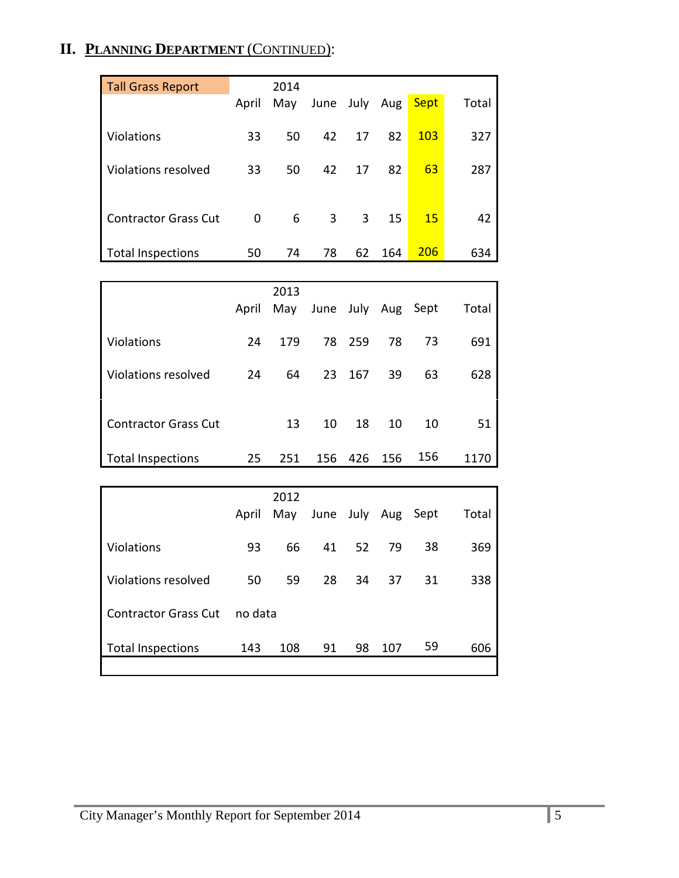# **II. PLANNING DEPARTMENT** (CONTINUED):

| <b>Tall Grass Report</b>    |              | 2014 |      |          |     |             |       |
|-----------------------------|--------------|------|------|----------|-----|-------------|-------|
|                             | April        | May  | June | July Aug |     | <b>Sept</b> | Total |
| Violations                  | 33           | 50   | 42   | 17       | 82  | 103         | 327   |
| Violations resolved         | 33           | 50   | 42   | 17       | 82  | 63          | 287   |
| <b>Contractor Grass Cut</b> | $\mathbf{0}$ | 6    | 3    | 3        | 15  | 15          | 42    |
| <b>Total Inspections</b>    | 50           | 74   | 78   | 62       | 164 | <b>206</b>  | 634   |

|                             |       | 2013 |                    |        |     |     |       |
|-----------------------------|-------|------|--------------------|--------|-----|-----|-------|
|                             | April | May  | June July Aug Sept |        |     |     | Total |
| Violations                  | 24    | 179  |                    | 78 259 | 78  | 73  | 691   |
| Violations resolved         | 24    | 64   | 23                 | 167    | 39  | 63  | 628   |
| <b>Contractor Grass Cut</b> |       | 13   | 10                 | 18     | 10  | 10  | 51    |
| Total Inspections           | 25    | 251  | 156                | 426    | 156 | 156 | 1170  |

|                             |         | 2012 |                    |       |     |    |       |
|-----------------------------|---------|------|--------------------|-------|-----|----|-------|
|                             | April   | May  | June July Aug Sept |       |     |    | Total |
| <b>Violations</b>           | 93      | 66   |                    | 41 52 | 79  | 38 | 369   |
| Violations resolved         | 50      | 59   | 28                 | 34    | 37  | 31 | 338   |
| <b>Contractor Grass Cut</b> | no data |      |                    |       |     |    |       |
| <b>Total Inspections</b>    | 143     | 108  | 91                 | 98    | 107 | 59 | 606   |
|                             |         |      |                    |       |     |    |       |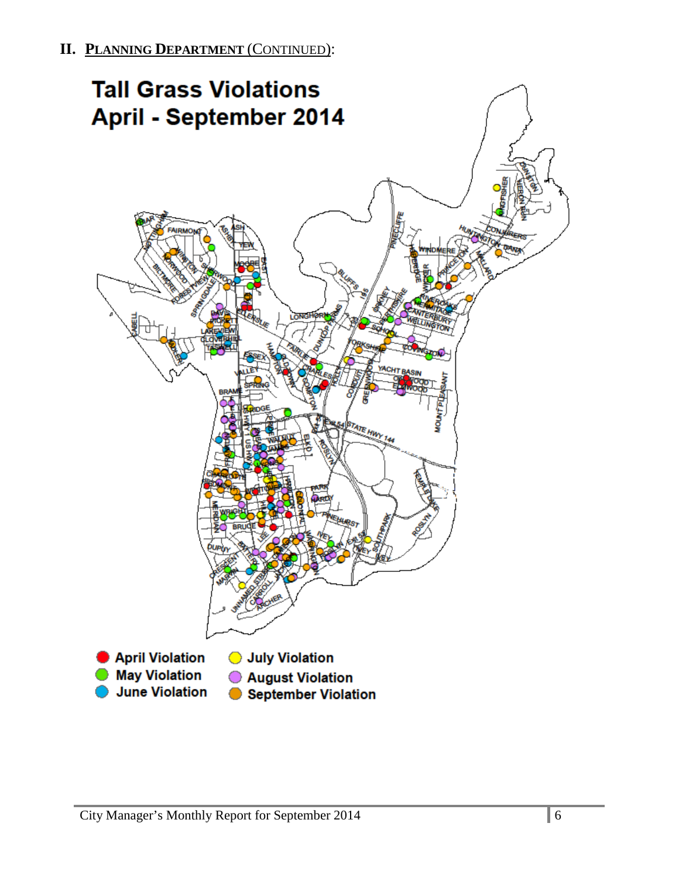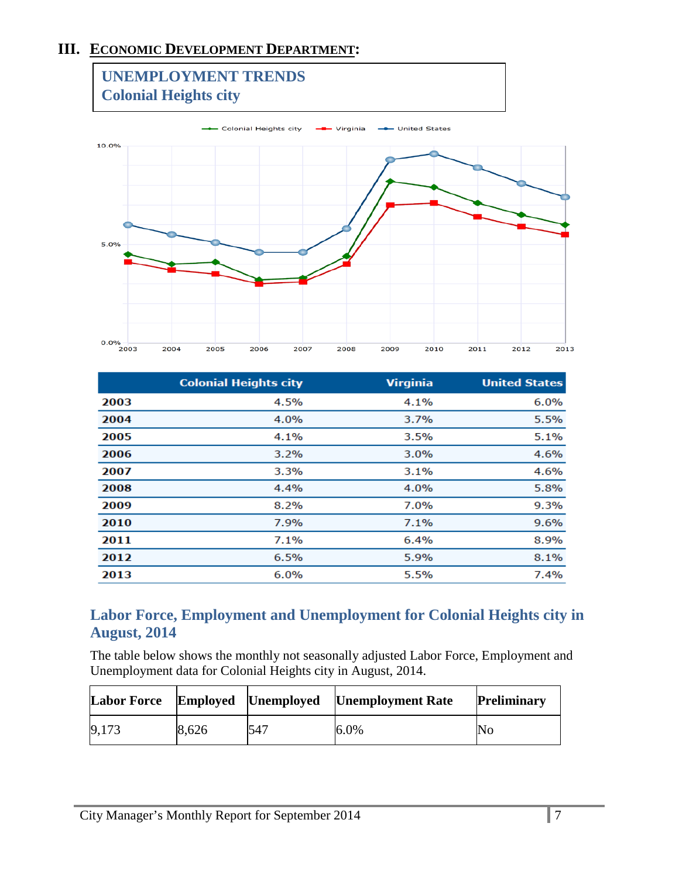# **III. ECONOMIC DEVELOPMENT DEPARTMENT:**



|      | <b>Colonial Heights city</b> | <b>Virginia</b> | <b>United States</b> |
|------|------------------------------|-----------------|----------------------|
| 2003 | 4.5%                         | 4.1%            | 6.0%                 |
| 2004 | 4.0%                         | 3.7%            | 5.5%                 |
| 2005 | 4.1%                         | 3.5%            | 5.1%                 |
| 2006 | 3.2%                         | 3.0%            | 4.6%                 |
| 2007 | 3.3%                         | 3.1%            | 4.6%                 |
| 2008 | 4.4%                         | 4.0%            | 5.8%                 |
| 2009 | 8.2%                         | 7.0%            | 9.3%                 |
| 2010 | 7.9%                         | 7.1%            | 9.6%                 |
| 2011 | 7.1%                         | 6.4%            | 8.9%                 |
| 2012 | 6.5%                         | 5.9%            | 8.1%                 |
| 2013 | 6.0%                         | 5.5%            | 7.4%                 |
|      |                              |                 |                      |

# **Labor Force, Employment and Unemployment for Colonial Heights city in August, 2014**

The table below shows the monthly not seasonally adjusted Labor Force, Employment and Unemployment data for Colonial Heights city in August, 2014.

| Labor Force Employed Unemployed |       |     | <b>Unemployment Rate</b> | <b>Preliminary</b> |
|---------------------------------|-------|-----|--------------------------|--------------------|
| 9.173                           | 8.626 | 547 | $6.0\%$                  | No                 |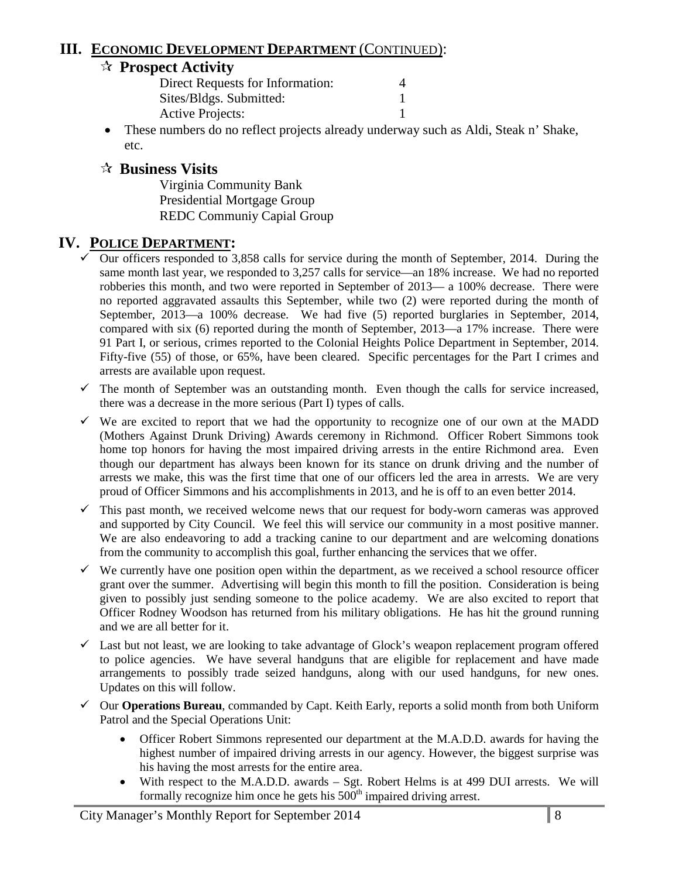# **III. ECONOMIC DEVELOPMENT DEPARTMENT** (CONTINUED):

# **Prospect Activity**

| Direct Requests for Information: |  |
|----------------------------------|--|
| Sites/Bldgs. Submitted:          |  |
| <b>Active Projects:</b>          |  |

• These numbers do no reflect projects already underway such as Aldi, Steak n' Shake, etc.

# **Business Visits**

Virginia Community Bank Presidential Mortgage Group REDC Communiy Capial Group

# **IV. POLICE DEPARTMENT:**

- $\checkmark$  Our officers responded to 3,858 calls for service during the month of September, 2014. During the same month last year, we responded to 3,257 calls for service—an 18% increase. We had no reported robberies this month, and two were reported in September of 2013— a 100% decrease. There were no reported aggravated assaults this September, while two (2) were reported during the month of September, 2013—a 100% decrease. We had five (5) reported burglaries in September, 2014, compared with six (6) reported during the month of September, 2013—a 17% increase. There were 91 Part I, or serious, crimes reported to the Colonial Heights Police Department in September, 2014. Fifty-five (55) of those, or 65%, have been cleared. Specific percentages for the Part I crimes and arrests are available upon request.
- $\checkmark$  The month of September was an outstanding month. Even though the calls for service increased, there was a decrease in the more serious (Part I) types of calls.
- $\checkmark$  We are excited to report that we had the opportunity to recognize one of our own at the MADD (Mothers Against Drunk Driving) Awards ceremony in Richmond. Officer Robert Simmons took home top honors for having the most impaired driving arrests in the entire Richmond area. Even though our department has always been known for its stance on drunk driving and the number of arrests we make, this was the first time that one of our officers led the area in arrests. We are very proud of Officer Simmons and his accomplishments in 2013, and he is off to an even better 2014.
- $\checkmark$  This past month, we received welcome news that our request for body-worn cameras was approved and supported by City Council. We feel this will service our community in a most positive manner. We are also endeavoring to add a tracking canine to our department and are welcoming donations from the community to accomplish this goal, further enhancing the services that we offer.
- $\checkmark$  We currently have one position open within the department, as we received a school resource officer grant over the summer. Advertising will begin this month to fill the position. Consideration is being given to possibly just sending someone to the police academy. We are also excited to report that Officer Rodney Woodson has returned from his military obligations. He has hit the ground running and we are all better for it.
- $\checkmark$  Last but not least, we are looking to take advantage of Glock's weapon replacement program offered to police agencies. We have several handguns that are eligible for replacement and have made arrangements to possibly trade seized handguns, along with our used handguns, for new ones. Updates on this will follow.
- Our **Operations Bureau**, commanded by Capt. Keith Early, reports a solid month from both Uniform Patrol and the Special Operations Unit:
	- Officer Robert Simmons represented our department at the M.A.D.D. awards for having the highest number of impaired driving arrests in our agency. However, the biggest surprise was his having the most arrests for the entire area.
	- With respect to the M.A.D.D. awards Sgt. Robert Helms is at 499 DUI arrests. We will formally recognize him once he gets his 500<sup>th</sup> impaired driving arrest.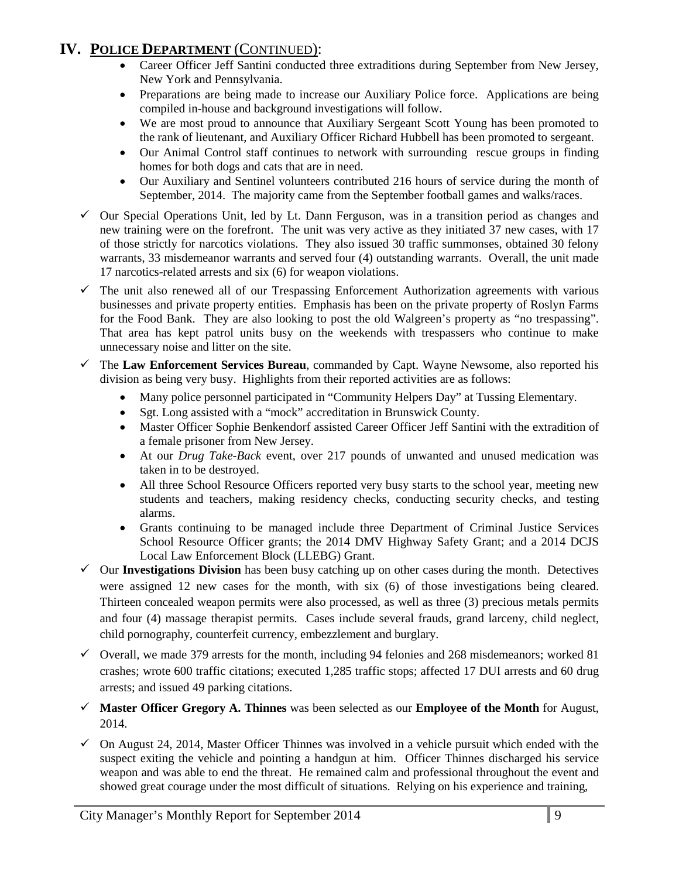# **IV. POLICE DEPARTMENT** (CONTINUED):

- Career Officer Jeff Santini conducted three extraditions during September from New Jersey, New York and Pennsylvania.
- Preparations are being made to increase our Auxiliary Police force. Applications are being compiled in-house and background investigations will follow.
- We are most proud to announce that Auxiliary Sergeant Scott Young has been promoted to the rank of lieutenant, and Auxiliary Officer Richard Hubbell has been promoted to sergeant.
- Our Animal Control staff continues to network with surrounding rescue groups in finding homes for both dogs and cats that are in need.
- Our Auxiliary and Sentinel volunteers contributed 216 hours of service during the month of September, 2014. The majority came from the September football games and walks/races.
- $\checkmark$  Our Special Operations Unit, led by Lt. Dann Ferguson, was in a transition period as changes and new training were on the forefront. The unit was very active as they initiated 37 new cases, with 17 of those strictly for narcotics violations. They also issued 30 traffic summonses, obtained 30 felony warrants, 33 misdemeanor warrants and served four (4) outstanding warrants. Overall, the unit made 17 narcotics-related arrests and six (6) for weapon violations.
- The unit also renewed all of our Trespassing Enforcement Authorization agreements with various businesses and private property entities. Emphasis has been on the private property of Roslyn Farms for the Food Bank. They are also looking to post the old Walgreen's property as "no trespassing". That area has kept patrol units busy on the weekends with trespassers who continue to make unnecessary noise and litter on the site.
- The **Law Enforcement Services Bureau**, commanded by Capt. Wayne Newsome, also reported his division as being very busy. Highlights from their reported activities are as follows:
	- Many police personnel participated in "Community Helpers Day" at Tussing Elementary.
	- Sgt. Long assisted with a "mock" accreditation in Brunswick County.
	- Master Officer Sophie Benkendorf assisted Career Officer Jeff Santini with the extradition of a female prisoner from New Jersey.
	- At our *Drug Take-Back* event, over 217 pounds of unwanted and unused medication was taken in to be destroyed.
	- All three School Resource Officers reported very busy starts to the school year, meeting new students and teachers, making residency checks, conducting security checks, and testing alarms.
	- Grants continuing to be managed include three Department of Criminal Justice Services School Resource Officer grants; the 2014 DMV Highway Safety Grant; and a 2014 DCJS Local Law Enforcement Block (LLEBG) Grant.
- $\checkmark$  Our **Investigations Division** has been busy catching up on other cases during the month. Detectives were assigned 12 new cases for the month, with six (6) of those investigations being cleared. Thirteen concealed weapon permits were also processed, as well as three (3) precious metals permits and four (4) massage therapist permits. Cases include several frauds, grand larceny, child neglect, child pornography, counterfeit currency, embezzlement and burglary.
- $\checkmark$  Overall, we made 379 arrests for the month, including 94 felonies and 268 misdemeanors; worked 81 crashes; wrote 600 traffic citations; executed 1,285 traffic stops; affected 17 DUI arrests and 60 drug arrests; and issued 49 parking citations.
- **Master Officer Gregory A. Thinnes** was been selected as our **Employee of the Month** for August, 2014.
- $\checkmark$  On August 24, 2014, Master Officer Thinnes was involved in a vehicle pursuit which ended with the suspect exiting the vehicle and pointing a handgun at him. Officer Thinnes discharged his service weapon and was able to end the threat. He remained calm and professional throughout the event and showed great courage under the most difficult of situations. Relying on his experience and training,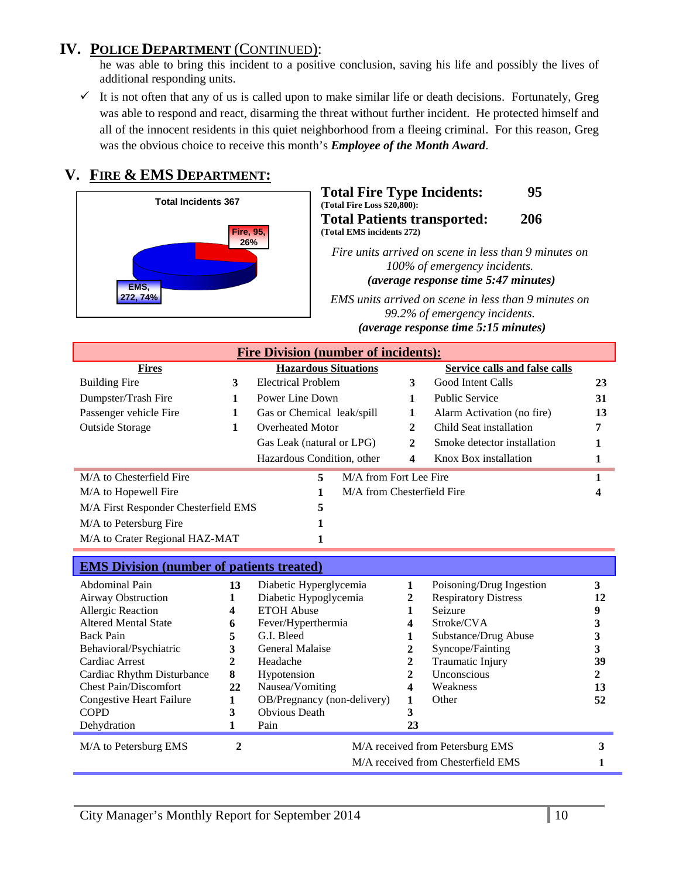# **IV. POLICE DEPARTMENT** (CONTINUED):

he was able to bring this incident to a positive conclusion, saving his life and possibly the lives of additional responding units.

 $\checkmark$  It is not often that any of us is called upon to make similar life or death decisions. Fortunately, Greg was able to respond and react, disarming the threat without further incident. He protected himself and all of the innocent residents in this quiet neighborhood from a fleeing criminal. For this reason, Greg was the obvious choice to receive this month's *Employee of the Month Award*.

# **V. FIRE & EMS DEPARTMENT:**



#### **Total Fire Type Incidents: 95 (Total Fire Loss \$20,800): Total Patients transported: 206 (Total EMS incidents 272)**

*Fire units arrived on scene in less than 9 minutes on 100% of emergency incidents. (average response time 5:47 minutes)* 

*EMS units arrived on scene in less than 9 minutes on 99.2% of emergency incidents. U(average response time 5:15 minutes)*

| <b>Fire Division (number of incidents):</b> |   |                             |                            |              |                               |    |
|---------------------------------------------|---|-----------------------------|----------------------------|--------------|-------------------------------|----|
| <b>Fires</b>                                |   | <b>Hazardous Situations</b> |                            |              | Service calls and false calls |    |
| <b>Building Fire</b>                        | 3 | <b>Electrical Problem</b>   |                            | 3            | Good Intent Calls             | 23 |
| Dumpster/Trash Fire                         | 1 | Power Line Down             |                            |              | <b>Public Service</b>         | 31 |
| Passenger vehicle Fire                      | 1 | Gas or Chemical leak/spill  |                            |              | Alarm Activation (no fire)    | 13 |
| <b>Outside Storage</b>                      | 1 | <b>Overheated Motor</b>     |                            | 2            | Child Seat installation       | 7  |
|                                             |   | Gas Leak (natural or LPG)   |                            | $\mathbf{2}$ | Smoke detector installation   |    |
|                                             |   | Hazardous Condition, other  |                            | 4            | Knox Box installation         |    |
| M/A to Chesterfield Fire                    |   | 5                           | M/A from Fort Lee Fire     |              |                               |    |
| M/A to Hopewell Fire                        |   |                             | M/A from Chesterfield Fire |              |                               |    |
| M/A First Responder Chesterfield EMS        |   | 5                           |                            |              |                               |    |
| M/A to Petersburg Fire                      |   |                             |                            |              |                               |    |
| M/A to Crater Regional HAZ-MAT              |   |                             |                            |              |                               |    |

| <b>EMS Division (number of patients treated)</b> |    |                             |    |                                    |    |
|--------------------------------------------------|----|-----------------------------|----|------------------------------------|----|
| Abdominal Pain                                   | 13 | Diabetic Hyperglycemia      |    | Poisoning/Drug Ingestion           | 3  |
| Airway Obstruction                               |    | Diabetic Hypoglycemia       | 2  | <b>Respiratory Distress</b>        | 12 |
| <b>Allergic Reaction</b>                         | 4  | <b>ETOH Abuse</b>           |    | Seizure                            |    |
| <b>Altered Mental State</b>                      | 6  | Fever/Hyperthermia          | 4  | Stroke/CVA                         |    |
| Back Pain                                        | 5  | G.I. Bleed                  |    | Substance/Drug Abuse               |    |
| Behavioral/Psychiatric                           | 3  | General Malaise             |    | Syncope/Fainting                   |    |
| Cardiac Arrest                                   | 2  | Headache                    |    | Traumatic Injury                   | 39 |
| Cardiac Rhythm Disturbance                       | 8  | Hypotension                 | 2  | Unconscious                        |    |
| <b>Chest Pain/Discomfort</b>                     | 22 | Nausea/Vomiting             | 4  | Weakness                           | 13 |
| Congestive Heart Failure                         |    | OB/Pregnancy (non-delivery) |    | Other                              | 52 |
| <b>COPD</b>                                      | 3  | <b>Obvious Death</b>        | 3  |                                    |    |
| Dehydration                                      |    | Pain                        | 23 |                                    |    |
| M/A to Petersburg EMS                            | 2  |                             |    | M/A received from Petersburg EMS   |    |
|                                                  |    |                             |    | M/A received from Chesterfield EMS |    |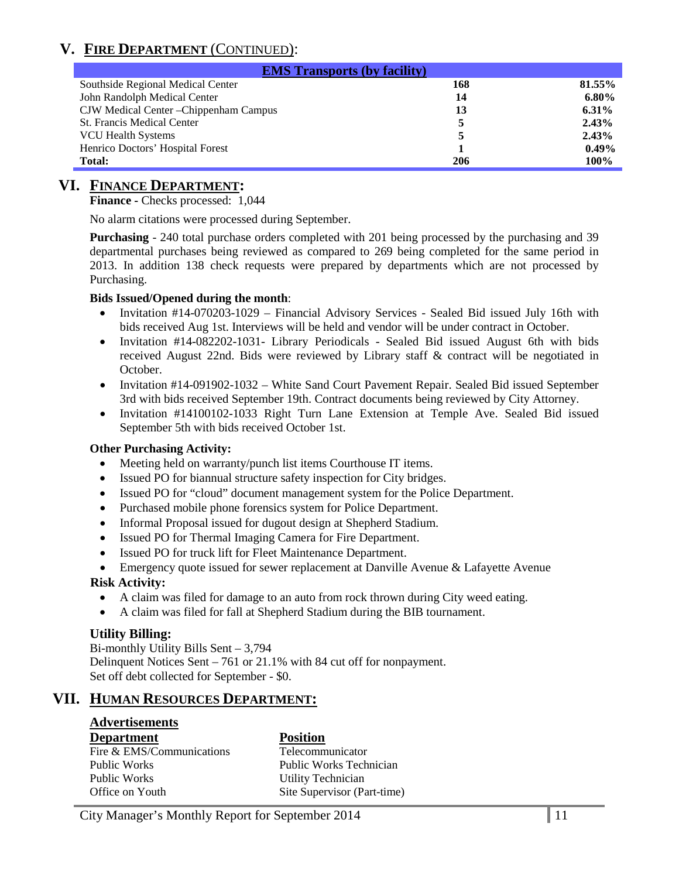# **V. FIRE DEPARTMENT** (CONTINUED):

| <b>EMS Transports (by facility)</b>    |     |          |  |  |  |
|----------------------------------------|-----|----------|--|--|--|
| Southside Regional Medical Center      | 168 | 81.55%   |  |  |  |
| John Randolph Medical Center           | 14  | $6.80\%$ |  |  |  |
| CJW Medical Center - Chippenham Campus | 13  | $6.31\%$ |  |  |  |
| <b>St. Francis Medical Center</b>      |     | 2.43%    |  |  |  |
| <b>VCU Health Systems</b>              |     | 2.43%    |  |  |  |
| Henrico Doctors' Hospital Forest       |     | $0.49\%$ |  |  |  |
| <b>Total:</b>                          | 206 | 100%     |  |  |  |

### **VI. FINANCE DEPARTMENT:**

**Finance -** Checks processed: 1,044

No alarm citations were processed during September.

**Purchasing** - 240 total purchase orders completed with 201 being processed by the purchasing and 39 departmental purchases being reviewed as compared to 269 being completed for the same period in 2013. In addition 138 check requests were prepared by departments which are not processed by Purchasing.

#### **Bids Issued/Opened during the month**:

- Invitation #14-070203-1029 Financial Advisory Services Sealed Bid issued July 16th with bids received Aug 1st. Interviews will be held and vendor will be under contract in October.
- Invitation #14-082202-1031- Library Periodicals Sealed Bid issued August 6th with bids received August 22nd. Bids were reviewed by Library staff & contract will be negotiated in October.
- Invitation #14-091902-1032 White Sand Court Pavement Repair. Sealed Bid issued September 3rd with bids received September 19th. Contract documents being reviewed by City Attorney.
- Invitation #14100102-1033 Right Turn Lane Extension at Temple Ave. Sealed Bid issued September 5th with bids received October 1st.

#### **Other Purchasing Activity:**

- Meeting held on warranty/punch list items Courthouse IT items.
- Issued PO for biannual structure safety inspection for City bridges.
- Issued PO for "cloud" document management system for the Police Department.
- Purchased mobile phone forensics system for Police Department.
- Informal Proposal issued for dugout design at Shepherd Stadium.
- Issued PO for Thermal Imaging Camera for Fire Department.
- Issued PO for truck lift for Fleet Maintenance Department.
- Emergency quote issued for sewer replacement at Danville Avenue & Lafayette Avenue

#### **Risk Activity:**

- A claim was filed for damage to an auto from rock thrown during City weed eating.
- A claim was filed for fall at Shepherd Stadium during the BIB tournament.

#### **Utility Billing:**

Bi-monthly Utility Bills Sent – 3,794 Delinquent Notices Sent – 761 or 21.1% with 84 cut off for nonpayment. Set off debt collected for September - \$0.

### **VII. HUMAN RESOURCES DEPARTMENT:**

# **Advertisements**

#### **Department Position**

| υτραι ιπιτιτ              |  |
|---------------------------|--|
| Fire & EMS/Communications |  |
| Public Works              |  |
| Public Works              |  |
| Office on Youth           |  |

Telecommunicator Public Works Technician **Utility Technician** Site Supervisor (Part-time)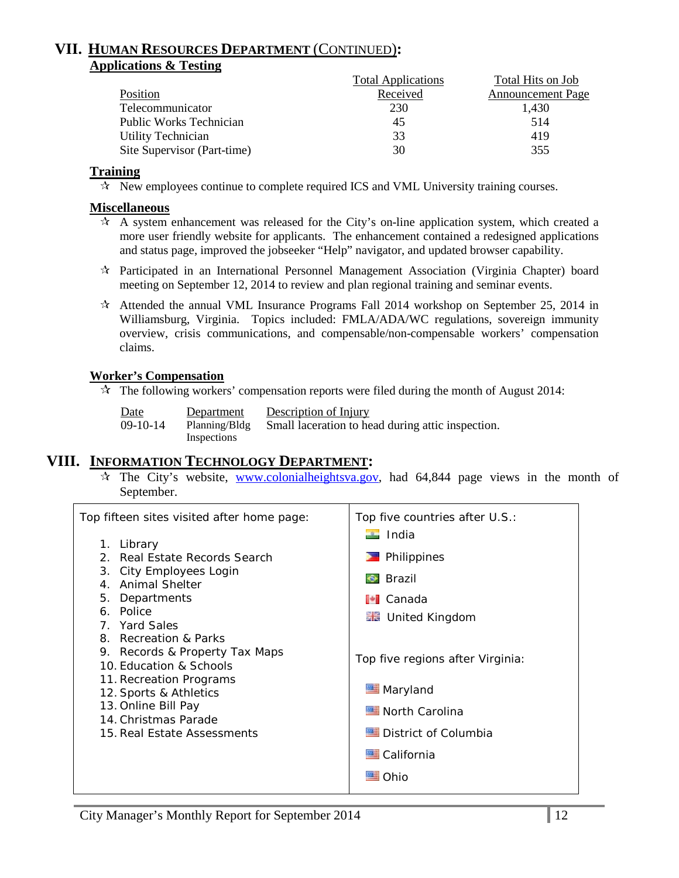### **VII. HUMAN RESOURCES DEPARTMENT** (CONTINUED)**: Applications & Testing**

|                             | <b>Total Applications</b> | Total Hits on Job        |
|-----------------------------|---------------------------|--------------------------|
| Position                    | Received                  | <b>Announcement Page</b> |
| Telecommunicator            | 230                       | 1.430                    |
| Public Works Technician     | 45                        | 514                      |
| <b>Utility Technician</b>   | 33                        | 419                      |
| Site Supervisor (Part-time) | 30                        | 355                      |

#### **Training**

 $\star$  New employees continue to complete required ICS and VML University training courses.

#### **Miscellaneous**

- $\star$  A system enhancement was released for the City's on-line application system, which created a more user friendly website for applicants. The enhancement contained a redesigned applications and status page, improved the jobseeker "Help" navigator, and updated browser capability.
- Participated in an International Personnel Management Association (Virginia Chapter) board meeting on September 12, 2014 to review and plan regional training and seminar events.
- $\star$  Attended the annual VML Insurance Programs Fall 2014 workshop on September 25, 2014 in Williamsburg, Virginia. Topics included: FMLA/ADA/WC regulations, sovereign immunity overview, crisis communications, and compensable/non-compensable workers' compensation claims.

#### **Worker's Compensation**

 $\lambda$  The following workers' compensation reports were filed during the month of August 2014:

| <u>Date</u> | Department    | Description of Injury                             |
|-------------|---------------|---------------------------------------------------|
| $09-10-14$  | Planning/Bldg | Small laceration to head during attic inspection. |
|             | Inspections   |                                                   |

### **VIII. INFORMATION TECHNOLOGY DEPARTMENT:**

 $\hat{x}$  The City's website, [www.colonialheightsva.gov,](http://www.colonialheightsva.gov/) had 64,844 page views in the month of September.

| Top fifteen sites visited after home page:                                                                                                                                                                                             | Top five countries after U.S.:                                                                                                                 |
|----------------------------------------------------------------------------------------------------------------------------------------------------------------------------------------------------------------------------------------|------------------------------------------------------------------------------------------------------------------------------------------------|
| Library<br>1.<br>2. Real Estate Records Search<br>3. City Employees Login<br>4. Animal Shelter<br>5. Departments<br>6. Police                                                                                                          | $\blacksquare$ India<br>Philippines<br>Brazil<br>$\bullet$<br><b>I</b> Canada                                                                  |
| 7. Yard Sales<br>8. Recreation & Parks<br>9. Records & Property Tax Maps<br>10. Education & Schools<br>11. Recreation Programs<br>12. Sports & Athletics<br>13. Online Bill Pay<br>14. Christmas Parade<br>15. Real Estate Assessments | ■■ United Kingdom<br>Top five regions after Virginia:<br>Maryland<br>North Carolina<br>District of Columbia<br>California<br><del>™</del> Ohio |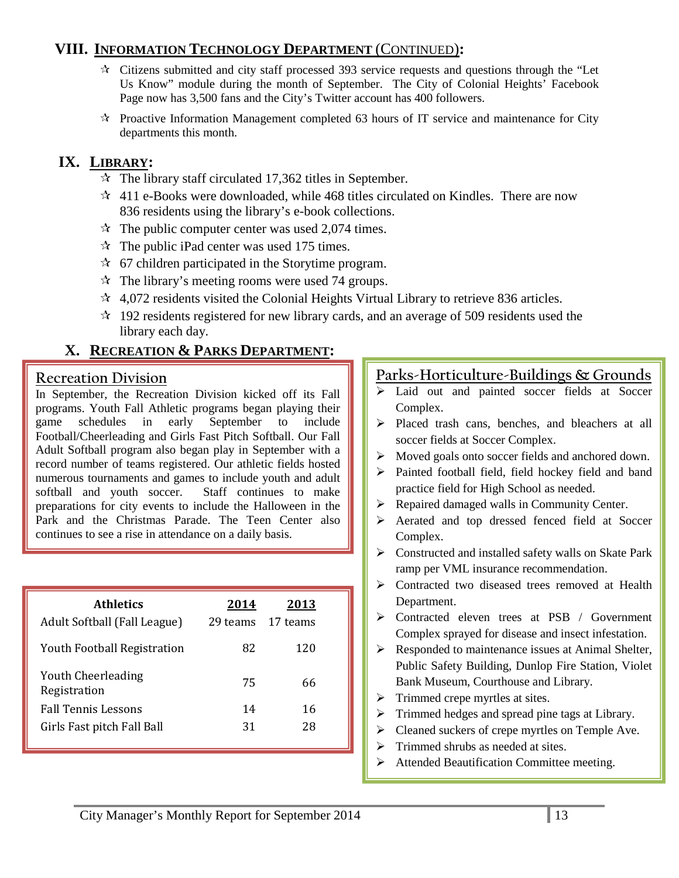# **VIII. INFORMATION TECHNOLOGY DEPARTMENT** (CONTINUED)**:**

- Citizens submitted and city staff processed 393 service requests and questions through the "Let Us Know" module during the month of September. The City of Colonial Heights' Facebook Page now has 3,500 fans and the City's Twitter account has 400 followers.
- $\star$  Proactive Information Management completed 63 hours of IT service and maintenance for City departments this month.

# **IX. LIBRARY:**

- $\approx$  The library staff circulated 17,362 titles in September.
- $\approx$  411 e-Books were downloaded, while 468 titles circulated on Kindles. There are now 836 residents using the library's e-book collections.
- $\approx$  The public computer center was used 2,074 times.
- $\approx$  The public iPad center was used 175 times.
- $\approx$  67 children participated in the Storytime program.
- $\approx$  The library's meeting rooms were used 74 groups.
- $\approx$  4,072 residents visited the Colonial Heights Virtual Library to retrieve 836 articles.
- $\approx$  192 residents registered for new library cards, and an average of 509 residents used the library each day.

# **X. RECREATION & PARKS DEPARTMENT:**

### **Recreation Division**

In September, the Recreation Division kicked off its Fall programs. Youth Fall Athletic programs began playing their schedules in early September to include Football/Cheerleading and Girls Fast Pitch Softball. Our Fall Adult Softball program also began play in September with a record number of teams registered. Our athletic fields hosted numerous tournaments and games to include youth and adult softball and youth soccer. Staff continues to make preparations for city events to include the Halloween in the Park and the Christmas Parade. The Teen Center also continues to see a rise in attendance on a daily basis.

| <b>Athletics</b><br>Adult Softball (Fall League) | 2014<br>29 teams | <u> 2013 </u><br>17 teams |  |
|--------------------------------------------------|------------------|---------------------------|--|
| <b>Youth Football Registration</b>               | 82               | 120                       |  |
| <b>Youth Cheerleading</b><br>Registration        | 75               | 66                        |  |
| <b>Fall Tennis Lessons</b>                       | 14               | 16                        |  |
| Girls Fast pitch Fall Ball                       | 31               | 28                        |  |

# **Parks-Horticulture-Buildings & Grounds**

- > Laid out and painted soccer fields at Soccer Complex.
- Placed trash cans, benches, and bleachers at all soccer fields at Soccer Complex.
- $\triangleright$  Moved goals onto soccer fields and anchored down.
- Painted football field, field hockey field and band practice field for High School as needed.
- $\triangleright$  Repaired damaged walls in Community Center.
- Aerated and top dressed fenced field at Soccer Complex.
- Constructed and installed safety walls on Skate Park ramp per VML insurance recommendation.
- Contracted two diseased trees removed at Health Department.
- > Contracted eleven trees at PSB / Government Complex sprayed for disease and insect infestation.
- $\triangleright$  Responded to maintenance issues at Animal Shelter, Public Safety Building, Dunlop Fire Station, Violet Bank Museum, Courthouse and Library.
- $\triangleright$  Trimmed crepe myrtles at sites.
- $\triangleright$  Trimmed hedges and spread pine tags at Library.
- $\triangleright$  Cleaned suckers of crepe myrtles on Temple Ave.
- $\triangleright$  Trimmed shrubs as needed at sites.
- Attended Beautification Committee meeting.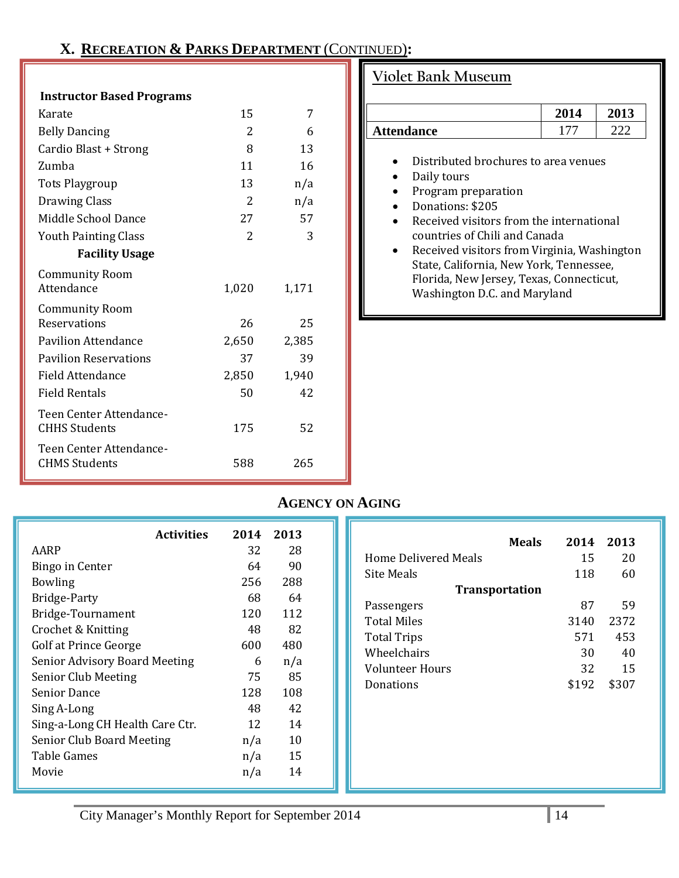# **X. RECREATION & PARKS DEPARTMENT** (CONTINUED)**:**

#### **Instructor Based Programs**

| Karate                       | 15    | 7     |  |
|------------------------------|-------|-------|--|
| <b>Belly Dancing</b>         | 2     | 6     |  |
| Cardio Blast + Strong        | 8     | 13    |  |
| Zumba                        | 11    | 16    |  |
| <b>Tots Playgroup</b>        | 13    | n/a   |  |
| <b>Drawing Class</b>         | 2     | n/a   |  |
| Middle School Dance          | 27    | 57    |  |
| <b>Youth Painting Class</b>  | 2     | 3     |  |
| <b>Facility Usage</b>        |       |       |  |
| <b>Community Room</b>        |       |       |  |
| Attendance                   | 1,020 | 1,171 |  |
| <b>Community Room</b>        |       |       |  |
| Reservations                 | 26    | 25    |  |
| <b>Pavilion Attendance</b>   | 2,650 | 2,385 |  |
| <b>Pavilion Reservations</b> | 37    | 39    |  |
| Field Attendance             | 2,850 | 1,940 |  |
| <b>Field Rentals</b>         | 50    | 42    |  |
| Teen Center Attendance-      |       |       |  |
| <b>CHHS Students</b>         | 175   | 52    |  |
| Teen Center Attendance-      |       |       |  |
| <b>CHMS Students</b>         | 588   | 265   |  |
|                              |       |       |  |

# **Violet Bank Museum**

|                   | 2014 | 2013 |
|-------------------|------|------|
| <b>Attendance</b> |      |      |

- Distributed brochures to area venues
- Daily tours<br>• Program pr
- Program preparation<br>• Donations: \$205
- Donations: \$205<br>• Received visitors
- Received visitors from the international countries of Chili and Canada
- Received visitors from Virginia, Washington State, California, New York, Tennessee, Florida, New Jersey, Texas, Connecticut, Washington D.C. and Maryland

# **AGENCY ON AGING**

| <b>Activities</b>                    | 2014 | 2013 |  |
|--------------------------------------|------|------|--|
| AARP                                 | 32   | 28   |  |
| Bingo in Center                      | 64   | 90   |  |
| <b>Bowling</b>                       | 256  | 288  |  |
| <b>Bridge-Party</b>                  | 68   | 64   |  |
| Bridge-Tournament                    | 120  | 112  |  |
| Crochet & Knitting                   | 48   | 82   |  |
| Golf at Prince George                | 600  | 480  |  |
| <b>Senior Advisory Board Meeting</b> | 6    | n/a  |  |
| Senior Club Meeting                  | 75   | 85   |  |
| <b>Senior Dance</b>                  | 128  | 108  |  |
| Sing A-Long                          | 48   | 42   |  |
| Sing-a-Long CH Health Care Ctr.      | 12   | 14   |  |
| Senior Club Board Meeting            | n/a  | 10   |  |
| Table Games                          | n/a  | 15   |  |
| Movie                                | n/a  | 14   |  |

| <b>Meals</b><br>Home Delivered Meals | 2014<br>15 | 2013<br>20 |
|--------------------------------------|------------|------------|
| Site Meals                           | 118        | 60         |
| <b>Transportation</b>                |            |            |
| Passengers                           | 87         | 59         |
| Total Miles                          | 3140       | 2372       |
| <b>Total Trips</b>                   | 571        | 453        |
| Wheelchairs                          | 30         | 40         |
| Volunteer Hours                      | 32         | 15         |
| Donations                            | \$192      | \$307      |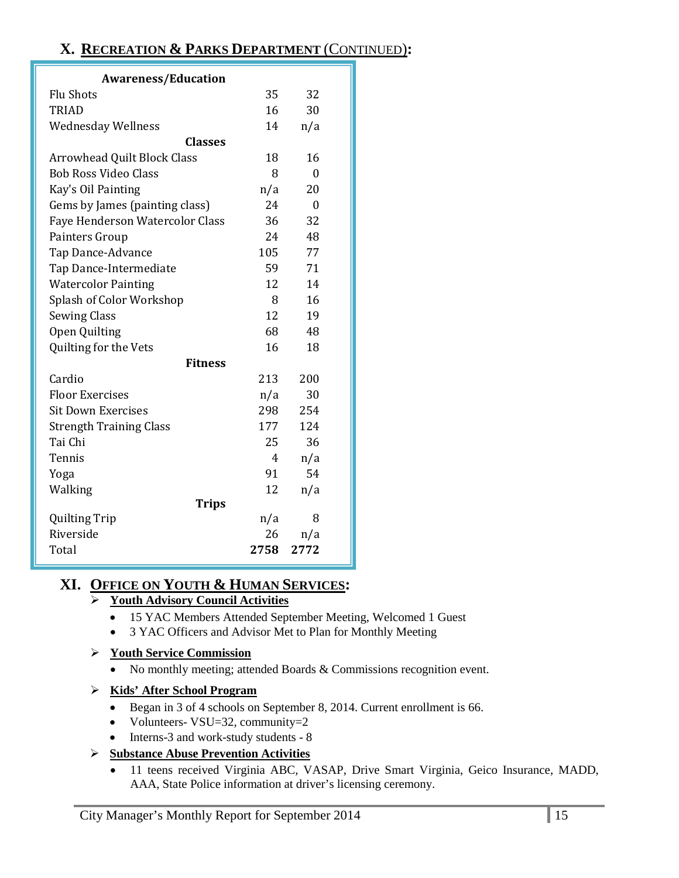# **X. RECREATION & PARKS DEPARTMENT** (CONTINUED)**:**

| <b>Awareness/Education</b>      |                |      |  |  |
|---------------------------------|----------------|------|--|--|
| <b>Flu Shots</b>                | 35             | 32   |  |  |
| <b>TRIAD</b>                    | 16             | 30   |  |  |
| <b>Wednesday Wellness</b>       | 14             | n/a  |  |  |
| <b>Classes</b>                  |                |      |  |  |
| Arrowhead Quilt Block Class     | 18             | 16   |  |  |
| <b>Bob Ross Video Class</b>     | 8              | 0    |  |  |
| Kay's Oil Painting              | n/a            | 20   |  |  |
| Gems by James (painting class)  | 24             | 0    |  |  |
| Faye Henderson Watercolor Class | 36             | 32   |  |  |
| Painters Group                  | 24             | 48   |  |  |
| Tap Dance-Advance               | 105            | 77   |  |  |
| Tap Dance-Intermediate          | 59             | 71   |  |  |
| <b>Watercolor Painting</b>      | 12             | 14   |  |  |
| Splash of Color Workshop        | 8              | 16   |  |  |
| <b>Sewing Class</b>             | 12             | 19   |  |  |
| Open Quilting                   | 68             | 48   |  |  |
| Quilting for the Vets           | 16             | 18   |  |  |
| <b>Fitness</b>                  |                |      |  |  |
| Cardio                          | 213            | 200  |  |  |
| <b>Floor Exercises</b>          | n/a            | 30   |  |  |
| <b>Sit Down Exercises</b>       | 298            | 254  |  |  |
| <b>Strength Training Class</b>  | 177            | 124  |  |  |
| Tai Chi                         | 25             | 36   |  |  |
| Tennis                          | $\overline{4}$ | n/a  |  |  |
| Yoga                            | 91             | 54   |  |  |
| Walking                         | 12             | n/a  |  |  |
| <b>Trips</b>                    |                |      |  |  |
| <b>Quilting Trip</b>            | n/a            | 8    |  |  |
| Riverside                       | 26             | n/a  |  |  |
| Total                           | 2758           | 2772 |  |  |

# **XI. OFFICE ON YOUTH & HUMAN SERVICES:**

### **Youth Advisory Council Activities**

- 15 YAC Members Attended September Meeting, Welcomed 1 Guest
- 3 YAC Officers and Advisor Met to Plan for Monthly Meeting

### **Youth Service Commission**

• No monthly meeting; attended Boards & Commissions recognition event.

### **Kids' After School Program**

- Began in 3 of 4 schools on September 8, 2014. Current enrollment is 66.
- Volunteers-  $VSU=32$ , community=2
- Interns-3 and work-study students 8

### **Substance Abuse Prevention Activities**

• 11 teens received Virginia ABC, VASAP, Drive Smart Virginia, Geico Insurance, MADD, AAA, State Police information at driver's licensing ceremony.